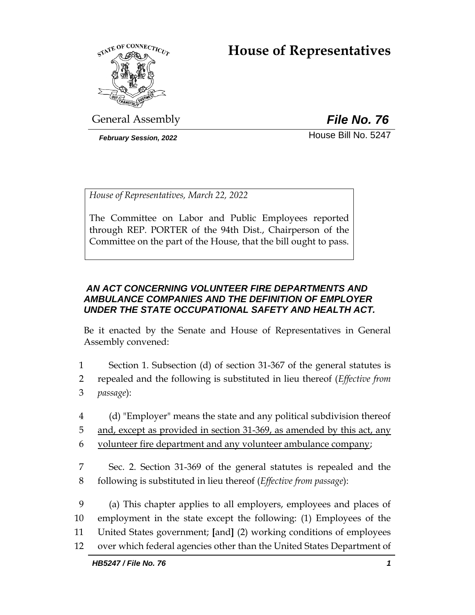# **House of Representatives**



General Assembly *File No. 76*

**February Session, 2022 House Bill No. 5247** 

*House of Representatives, March 22, 2022*

The Committee on Labor and Public Employees reported through REP. PORTER of the 94th Dist., Chairperson of the Committee on the part of the House, that the bill ought to pass.

## *AN ACT CONCERNING VOLUNTEER FIRE DEPARTMENTS AND AMBULANCE COMPANIES AND THE DEFINITION OF EMPLOYER UNDER THE STATE OCCUPATIONAL SAFETY AND HEALTH ACT.*

Be it enacted by the Senate and House of Representatives in General Assembly convened:

- 1 Section 1. Subsection (d) of section 31-367 of the general statutes is 2 repealed and the following is substituted in lieu thereof (*Effective from*  3 *passage*):
- 4 (d) "Employer" means the state and any political subdivision thereof
- 5 and, except as provided in section 31-369, as amended by this act, any
- 6 volunteer fire department and any volunteer ambulance company;
- 7 Sec. 2. Section 31-369 of the general statutes is repealed and the 8 following is substituted in lieu thereof (*Effective from passage*):
- 9 (a) This chapter applies to all employers, employees and places of 10 employment in the state except the following: (1) Employees of the 11 United States government; **[**and**]** (2) working conditions of employees 12 over which federal agencies other than the United States Department of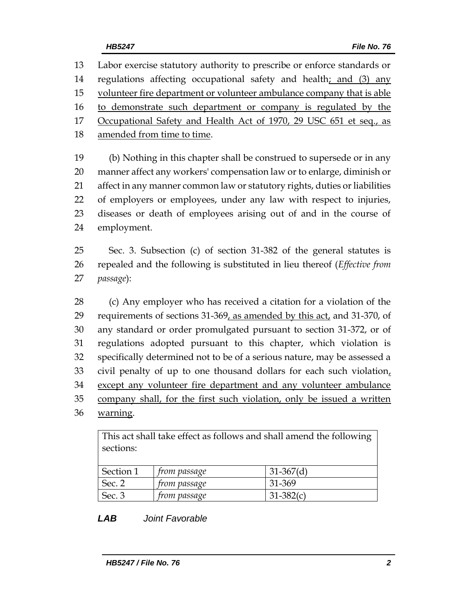Labor exercise statutory authority to prescribe or enforce standards or regulations affecting occupational safety and health; and (3) any volunteer fire department or volunteer ambulance company that is able to demonstrate such department or company is regulated by the 17 Occupational Safety and Health Act of 1970, 29 USC 651 et seq., as 18 amended from time to time. (b) Nothing in this chapter shall be construed to supersede or in any

 manner affect any workers' compensation law or to enlarge, diminish or affect in any manner common law or statutory rights, duties or liabilities of employers or employees, under any law with respect to injuries, diseases or death of employees arising out of and in the course of employment.

 Sec. 3. Subsection (c) of section 31-382 of the general statutes is repealed and the following is substituted in lieu thereof (*Effective from passage*):

 (c) Any employer who has received a citation for a violation of the requirements of sections 31-369, as amended by this act, and 31-370, of any standard or order promulgated pursuant to section 31-372, or of regulations adopted pursuant to this chapter, which violation is specifically determined not to be of a serious nature, may be assessed a 33 civil penalty of up to one thousand dollars for each such violation, except any volunteer fire department and any volunteer ambulance company shall, for the first such violation, only be issued a written warning.

This act shall take effect as follows and shall amend the following sections: Section 1 *from passage* 31-367(d) Sec. 2 *from passage* 31-369 Sec. 3 *from passage* 31-382(c)

## *LAB Joint Favorable*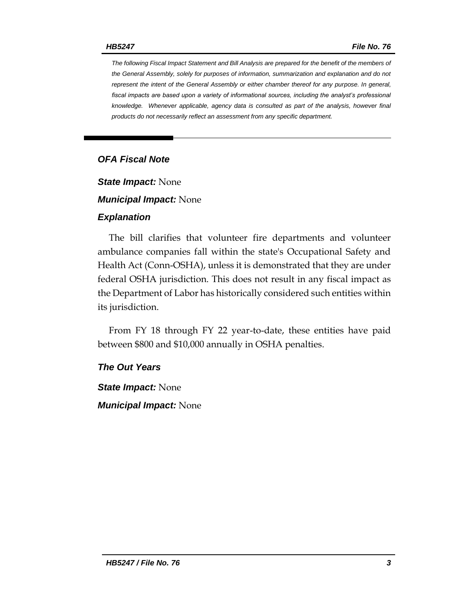*The following Fiscal Impact Statement and Bill Analysis are prepared for the benefit of the members of the General Assembly, solely for purposes of information, summarization and explanation and do not represent the intent of the General Assembly or either chamber thereof for any purpose. In general,*  fiscal impacts are based upon a variety of informational sources, including the analyst's professional *knowledge. Whenever applicable, agency data is consulted as part of the analysis, however final products do not necessarily reflect an assessment from any specific department.*

## *OFA Fiscal Note*

*State Impact:* None

*Municipal Impact:* None

#### *Explanation*

The bill clarifies that volunteer fire departments and volunteer ambulance companies fall within the state's Occupational Safety and Health Act (Conn-OSHA), unless it is demonstrated that they are under federal OSHA jurisdiction. This does not result in any fiscal impact as the Department of Labor has historically considered such entities within its jurisdiction.

From FY 18 through FY 22 year-to-date, these entities have paid between \$800 and \$10,000 annually in OSHA penalties.

#### *The Out Years*

*State Impact:* None *Municipal Impact:* None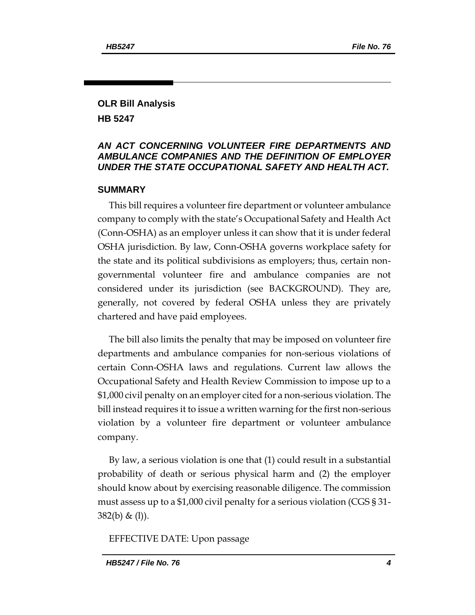## **OLR Bill Analysis HB 5247**

#### *AN ACT CONCERNING VOLUNTEER FIRE DEPARTMENTS AND AMBULANCE COMPANIES AND THE DEFINITION OF EMPLOYER UNDER THE STATE OCCUPATIONAL SAFETY AND HEALTH ACT.*

#### **SUMMARY**

This bill requires a volunteer fire department or volunteer ambulance company to comply with the state's Occupational Safety and Health Act (Conn-OSHA) as an employer unless it can show that it is under federal OSHA jurisdiction. By law, Conn-OSHA governs workplace safety for the state and its political subdivisions as employers; thus, certain nongovernmental volunteer fire and ambulance companies are not considered under its jurisdiction (see BACKGROUND). They are, generally, not covered by federal OSHA unless they are privately chartered and have paid employees.

The bill also limits the penalty that may be imposed on volunteer fire departments and ambulance companies for non-serious violations of certain Conn-OSHA laws and regulations. Current law allows the Occupational Safety and Health Review Commission to impose up to a \$1,000 civil penalty on an employer cited for a non-serious violation. The bill instead requires it to issue a written warning for the first non-serious violation by a volunteer fire department or volunteer ambulance company.

By law, a serious violation is one that (1) could result in a substantial probability of death or serious physical harm and (2) the employer should know about by exercising reasonable diligence. The commission must assess up to a \$1,000 civil penalty for a serious violation (CGS § 31- 382(b) & (l)).

EFFECTIVE DATE: Upon passage